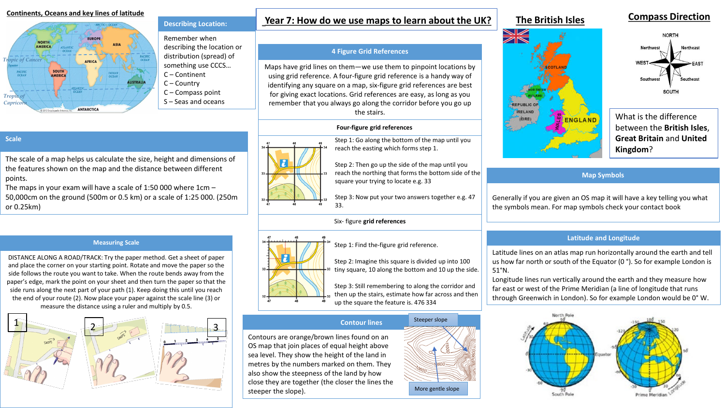#### **Continents, Oceans and key lines of latitude**



#### **Describing Location:**

Remember when describing the location or distribution (spread) of something use CCCS… C – Continent

- C Country
- C Compass point
- S Seas and oceans

#### **Scale**

The scale of a map helps us calculate the size, height and dimensions of the features shown on the map and the distance between different points.

The maps in your exam will have a scale of 1:50 000 where 1cm – 50,000cm on the ground (500m or 0.5 km) or a scale of 1:25 000. (250m or 0.25km)

#### **Measuring Scale**

DISTANCE ALONG A ROAD/TRACK: Try the paper method. Get a sheet of paper and place the corner on your starting point. Rotate and move the paper so the side follows the route you want to take. When the route bends away from the paper's edge, mark the point on your sheet and then turn the paper so that the side runs along the next part of your path (1). Keep doing this until you reach the end of your route (2). Now place your paper against the scale line (3) or measure the distance using a ruler and multiply by 0.5.



# **Year 7: How do we use maps to learn about the UK?**

#### **4 Figure Grid References**

Maps have grid lines on them—we use them to pinpoint locations by using grid reference. A four-figure grid reference is a handy way of identifying any square on a map, six-figure grid references are best for giving exact locations. Grid references are easy, as long as you remember that you always go along the corridor before you go up the stairs.

#### **Four-figure grid references**



Step 1: Go along the bottom of the map until you reach the easting which forms step 1.

Step 2: Then go up the side of the map until you reach the northing that forms the bottom side of the square your trying to locate e.g. 33

Step 3: Now put your two answers together e.g. 47 33.

Six- figure **grid references**



Step 1: Find the-figure grid reference.

Step 2: Imagine this square is divided up into 100 tiny square, 10 along the bottom and 10 up the side.

Step 3: Still remembering to along the corridor and then up the stairs, estimate how far across and then up the square the feature is. 476 334

Steeper slope

More gentle slope

#### **Contour lines**

Contours are orange/brown lines found on an OS map that join places of equal height above sea level. They show the height of the land in metres by the numbers marked on them. They also show the steepness of the land by how close they are together (the closer the lines the steeper the slope).

# **The British Isles**

# **Compass Direction**

Northwes

Southwest

WES<sub>1</sub>

**NORTH** 

SOUTH

Vortheast



What is the difference between the **British Isles**, **Great Britain** and **United Kingdom**?

#### **Map Symbols**

Generally if you are given an OS map it will have a key telling you what the symbols mean. For map symbols check your contact book

#### **Latitude and Longitude**

Latitude lines on an atlas map run horizontally around the earth and tell us how far north or south of the Equator (0 °). So for example London is 51°N.

Longitude lines run vertically around the earth and they measure how far east or west of the Prime Meridian (a line of longitude that runs through Greenwich in London). So for example London would be 0° W.

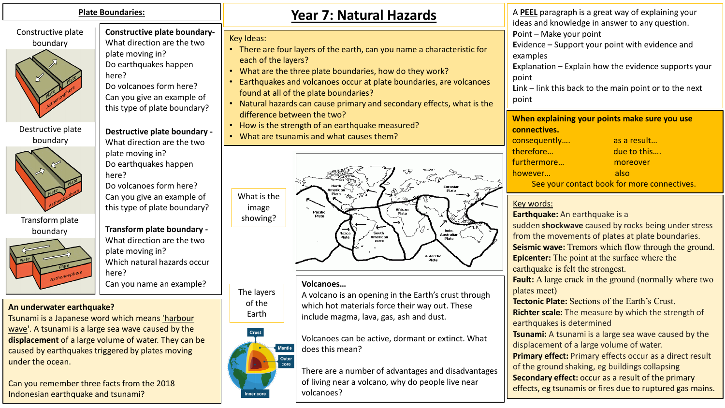#### **Plate Boundaries:**

here?

here?

here?

**Constructive plate boundary-**What direction are the two

plate moving in?

plate moving in?

plate moving in?

Do earthquakes happen

Do volcanoes form here? Can you give an example of this type of plate boundary?

**Destructive plate boundary -** What direction are the two

Do earthquakes happen

Do volcanoes form here? Can you give an example of this type of plate boundary?

**Transform plate boundary -** What direction are the two

#### Constructive plate boundary



Destructive plate boundary



Transform plate boundary



# **An underwater earthquake?**

Tsunami is a Japanese word which means 'harbour wave'. A tsunami is a large sea wave caused by the **displacement** of a large volume of water. They can be caused by earthquakes triggered by plates moving under the ocean.

Can you remember three facts from the 2018 Indonesian earthquake and tsunami?

# **Year 7: Natural Hazards**

#### Key Ideas:

- There are four layers of the earth, can you name a characteristic for each of the layers?
- What are the three plate boundaries, how do they work?
- Earthquakes and volcanoes occur at plate boundaries, are volcanoes found at all of the plate boundaries?
- Natural hazards can cause primary and secondary effects, what is the difference between the two?
- How is the strength of an earthquake measured?
- What are tsunamis and what causes them?



#### **Volcanoes…**





which hot materials force their way out. These include magma, lava, gas, ash and dust.

A volcano is an opening in the Earth's crust through

Volcanoes can be active, dormant or extinct. What does this mean?

There are a number of advantages and disadvantages of living near a volcano, why do people live near volcanoes?

A **PEEL** paragraph is a great way of explaining your ideas and knowledge in answer to any question.

**P**oint – Make your point

**E**vidence – Support your point with evidence and examples

**E**xplanation – Explain how the evidence supports your point

**L**ink – link this back to the main point or to the next point

#### **When explaining your points make sure you use connectives.**

| as a result                                 |  |  |
|---------------------------------------------|--|--|
| due to this                                 |  |  |
| moreover                                    |  |  |
| also                                        |  |  |
| See your contact book for more connectives. |  |  |
|                                             |  |  |

# Key words:

**Earthquake:** An earthquake is a sudden **shockwave** caused by rocks being under stress from the movements of plates at plate boundaries. **Seismic wave:** Tremors which flow through the ground. **Epicenter:** The point at the surface where the earthquake is felt the strongest. **Fault:** A large crack in the ground (normally where two plates meet) **Tectonic Plate:** Sections of the Earth's Crust. **Richter scale:** The measure by which the strength of earthquakes is determined **Tsunami:** A tsunami is a large sea wave caused by the displacement of a large volume of water. **Primary effect:** Primary effects occur as a direct result of the ground shaking, eg buildings collapsing **Secondary effect:** occur as a result of the primary effects, eg tsunamis or fires due to ruptured gas mains.







nner core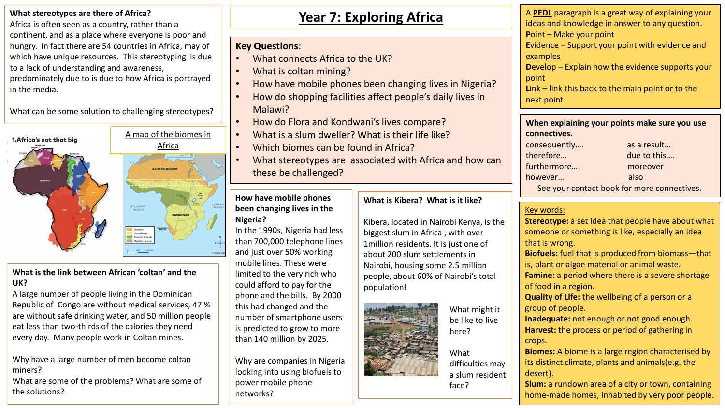#### **What stereotypes are there of Africa?**

Africa is often seen as a country, rather than a continent, and as a place where everyone is poor and hungry. In fact there are 54 countries in Africa, may of which have unique resources. This stereotyping is due to a lack of understanding and awareness,

predominately due to is due to how Africa is portrayed in the media.

What can be some solution to challenging stereotypes?



### **What is the link between African 'coltan' and the UK?**

A large number of people living in the Dominican Republic of Congo are without medical services, 47 % are without safe drinking water, and 50 million people eat less than two-thirds of the calories they need every day. Many people work in Coltan mines.

Why have a large number of men become coltan miners?

What are some of the problems? What are some of the solutions?

# **Year 7: Exploring Africa**

# **Key Questions**:

- What connects Africa to the UK?
- What is coltan mining?
- How have mobile phones been changing lives in Nigeria?
- How do shopping facilities affect people's daily lives in Malawi?
- How do Flora and Kondwani's lives compare?
- What is a slum dweller? What is their life like?
- Which biomes can be found in Africa?
- What stereotypes are associated with Africa and how can these be challenged?

**How have mobile phones been changing lives in the Nigeria?**

In the 1990s, Nigeria had less than 700,000 telephone lines and just over 50% working mobile lines. These were limited to the very rich who could afford to pay for the phone and the bills. By 2000 this had changed and the number of smartphone users is predicted to grow to more than 140 million by 2025.

Why are companies in Nigeria looking into using biofuels to power mobile phone networks?

**What is Kibera? What is it like?**

Kibera, located in Nairobi Kenya, is the biggest slum in Africa , with over 1million residents. It is just one of about 200 slum settlements in Nairobi, housing some 2.5 million people, about 60% of Nairobi's total population!



What might it be like to live here?

# What

difficulties may a slum resident face?

A **PEDL** paragraph is a great way of explaining your ideas and knowledge in answer to any question. **P**oint – Make your point **E**vidence – Support your point with evidence and examples **D**evelop – Explain how the evidence supports your point Link – link this back to the main point or to the next point

| When explaining your points make sure you use |             |  |
|-----------------------------------------------|-------------|--|
| connectives.                                  |             |  |
| consequently                                  | as a result |  |
| therefore                                     | due to this |  |
| furthermore                                   | moreover    |  |
| however                                       | also        |  |
| See your contact book for more connectives.   |             |  |

# Key words:

**Stereotype:** a set idea that people have about what someone or something is like, especially an idea that is wrong. **Biofuels:** fuel that is produced from biomass—that is, plant or algae material or animal waste. **Famine:** a period where there is a severe shortage of food in a region. **Quality of Life:** the wellbeing of a person or a group of people. **Inadequate:** not enough or not good enough. **Harvest:** the process or period of gathering in crops. **Biomes:** A biome is a large region characterised by its distinct climate, plants and animals(e.g. the desert). **Slum:** a rundown area of a city or town, containing

home-made homes, inhabited by very poor people.